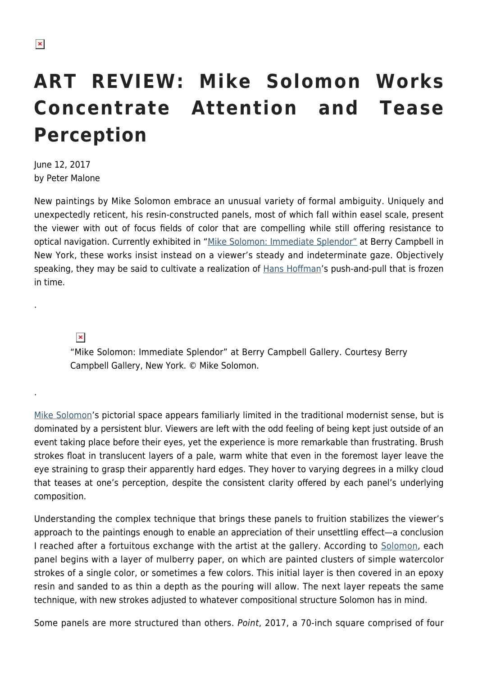## **ART REVIEW: Mike Solomon Works Concentrate Attention and Tease Perception**

June 12, 2017 by Peter Malone

New paintings by Mike Solomon embrace an unusual variety of formal ambiguity. Uniquely and unexpectedly reticent, his resin-constructed panels, most of which fall within easel scale, present the viewer with out of focus fields of color that are compelling while still offering resistance to optical navigation. Currently exhibited in "[Mike Solomon: Immediate Splendor"](http://www.berrycampbell.com/exhibition/71/exhibition_works/1268) at Berry Campbell in New York, these works insist instead on a viewer's steady and indeterminate gaze. Objectively speaking, they may be said to cultivate a realization of [Hans Hoffman](https://hamptonsarthub.com/2016/07/20/reviews-art-review-a-hans-hofmann-summer-contrasts-bo-bartletts-confrontations/)'s push-and-pull that is frozen in time.

 $\pmb{\times}$ 

.

.

"Mike Solomon: Immediate Splendor" at Berry Campbell Gallery. Courtesy Berry Campbell Gallery, New York. © Mike Solomon.

[Mike Solomon'](https://hamptonsarthub.com/2015/06/09/art-review-quiet-beauty-whispered-in-mike-solomons-under-water-color/)s pictorial space appears familiarly limited in the traditional modernist sense, but is dominated by a persistent blur. Viewers are left with the odd feeling of being kept just outside of an event taking place before their eyes, yet the experience is more remarkable than frustrating. Brush strokes float in translucent layers of a pale, warm white that even in the foremost layer leave the eye straining to grasp their apparently hard edges. They hover to varying degrees in a milky cloud that teases at one's perception, despite the consistent clarity offered by each panel's underlying composition.

Understanding the complex technique that brings these panels to fruition stabilizes the viewer's approach to the paintings enough to enable an appreciation of their unsettling effect—a conclusion I reached after a fortuitous exchange with the artist at the gallery. According to [Solomon](http://mikesolomon.com/), each panel begins with a layer of mulberry paper, on which are painted clusters of simple watercolor strokes of a single color, or sometimes a few colors. This initial layer is then covered in an epoxy resin and sanded to as thin a depth as the pouring will allow. The next layer repeats the same technique, with new strokes adjusted to whatever compositional structure Solomon has in mind.

Some panels are more structured than others. Point, 2017, a 70-inch square comprised of four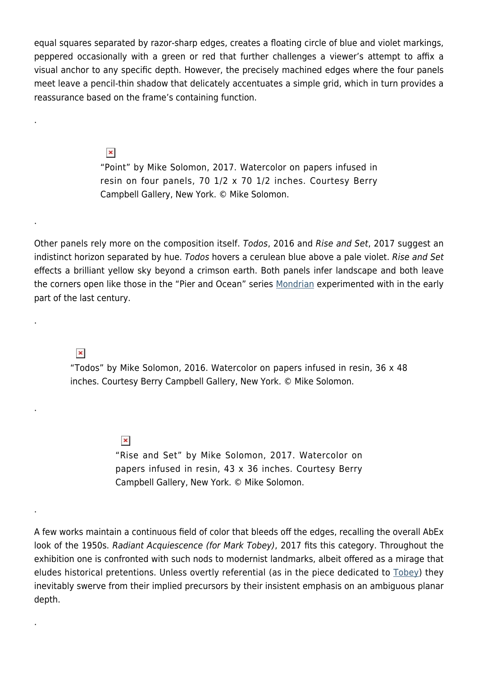equal squares separated by razor-sharp edges, creates a floating circle of blue and violet markings, peppered occasionally with a green or red that further challenges a viewer's attempt to affix a visual anchor to any specific depth. However, the precisely machined edges where the four panels meet leave a pencil-thin shadow that delicately accentuates a simple grid, which in turn provides a reassurance based on the frame's containing function.

 $\pmb{\times}$ 

.

.

.

.

.

.

"Point" by Mike Solomon, 2017. Watercolor on papers infused in resin on four panels, 70 1/2 x 70 1/2 inches. Courtesy Berry Campbell Gallery, New York. © Mike Solomon.

Other panels rely more on the composition itself. Todos, 2016 and Rise and Set, 2017 suggest an indistinct horizon separated by hue. Todos hovers a cerulean blue above a pale violet. Rise and Set effects a brilliant yellow sky beyond a crimson earth. Both panels infer landscape and both leave the corners open like those in the "Pier and Ocean" series [Mondrian](http://www.theartstory.org/artist-mondrian-piet.htm) experimented with in the early part of the last century.

 $\pmb{\times}$ 

"Todos" by Mike Solomon, 2016. Watercolor on papers infused in resin, 36 x 48 inches. Courtesy Berry Campbell Gallery, New York. © Mike Solomon.

> $\pmb{\times}$ "Rise and Set" by Mike Solomon, 2017. Watercolor on papers infused in resin, 43 x 36 inches. Courtesy Berry Campbell Gallery, New York. © Mike Solomon.

A few works maintain a continuous field of color that bleeds off the edges, recalling the overall AbEx look of the 1950s. Radiant Acquiescence (for Mark Tobey), 2017 fits this category. Throughout the exhibition one is confronted with such nods to modernist landmarks, albeit offered as a mirage that eludes historical pretentions. Unless overtly referential (as in the piece dedicated to [Tobey\)](https://www.guggenheim.org/artwork/artist/mark-tobey) they inevitably swerve from their implied precursors by their insistent emphasis on an ambiguous planar depth.